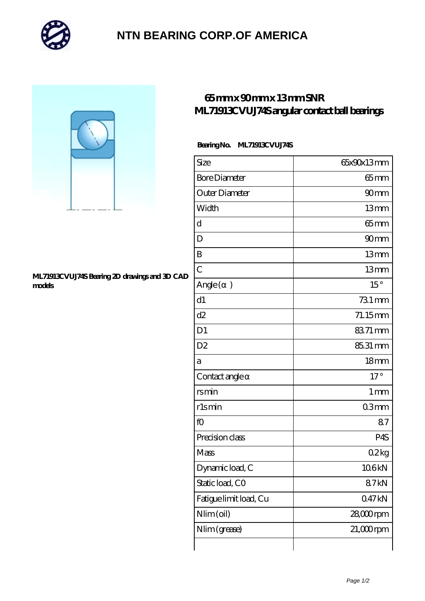

## **[NTN BEARING CORP.OF AMERICA](https://m.autopartscompanies.com)**



#### **[ML71913CVUJ74S Bearing 2D drawings and 3D CAD](https://m.autopartscompanies.com/pic-198847.html) [models](https://m.autopartscompanies.com/pic-198847.html)**

## **[65 mm x 90 mm x 13 mm SNR](https://m.autopartscompanies.com/at-198847-snr-ml71913cvuj74s-angular-contact-ball-bearings.html) [ML71913CVUJ74S angular contact ball bearings](https://m.autopartscompanies.com/at-198847-snr-ml71913cvuj74s-angular-contact-ball-bearings.html)**

### **Bearing No. ML71913CVUJ74S**

| Size                     | 65x90x13mm       |
|--------------------------|------------------|
| <b>Bore Diameter</b>     | $65$ mm          |
| Outer Diameter           | 90mm             |
| Width                    | 13mm             |
| d                        | $65$ mm          |
| D                        | 90mm             |
| B                        | 13mm             |
| $\overline{C}$           | 13mm             |
| Angle (<br>$\mathcal{E}$ | 15°              |
| d1                       | 731 mm           |
| d2                       | 71.15mm          |
| D <sub>1</sub>           | 8371 mm          |
| D <sub>2</sub>           | 85.31 mm         |
| а                        | 18 <sub>mm</sub> |
| Contact angle            | $17^\circ$       |
| rsmin                    | 1 <sub>mm</sub>  |
| rlsmin                   | 03mm             |
| fO                       | 87               |
| Precision class          | P4S              |
| Mass                     | 02kg             |
| Dynamic load, C          | 106kN            |
| Static load, CO          | 87kN             |
| Fatigue limit load, Cu   | 047kN            |
| Nlim (oil)               | 28,000rpm        |
| Nlim (grease)            | $21,000$ rpm     |
|                          |                  |